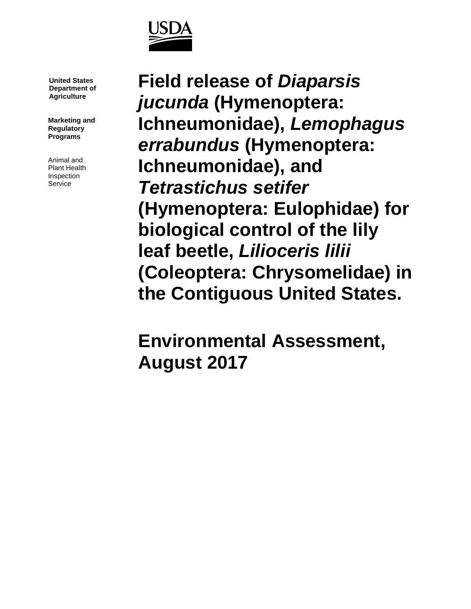

**United States Department of Agriculture**

**Marketing and Regulatory Programs**

Animal and Plant Health Inspection Service

**Field release of** *Diaparsis jucunda* **(Hymenoptera: Ichneumonidae),** *Lemophagus errabundus* **(Hymenoptera: Ichneumonidae), and**  *Tetrastichus setifer*  **(Hymenoptera: Eulophidae) for biological control of the lily leaf beetle,** *Lilioceris lilii* **(Coleoptera: Chrysomelidae) in the Contiguous United States.**

**Environmental Assessment, August 2017**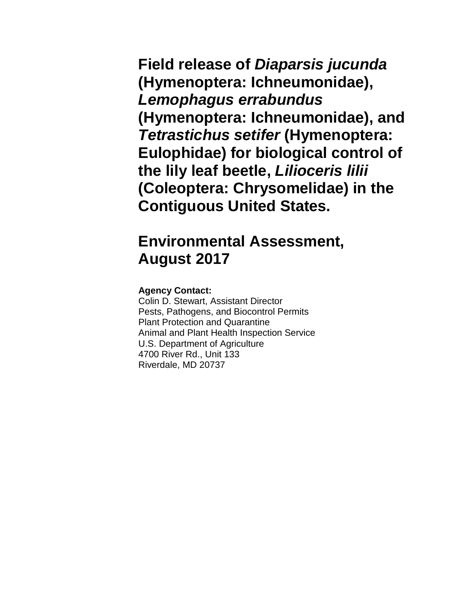**Field release of** *Diaparsis jucunda* **(Hymenoptera: Ichneumonidae),**  *Lemophagus errabundus* **(Hymenoptera: Ichneumonidae), and**  *Tetrastichus setifer* **(Hymenoptera: Eulophidae) for biological control of the lily leaf beetle,** *Lilioceris lilii* **(Coleoptera: Chrysomelidae) in the Contiguous United States.**

# **Environmental Assessment, August 2017**

#### **Agency Contact:**

Colin D. Stewart, Assistant Director Pests, Pathogens, and Biocontrol Permits Plant Protection and Quarantine Animal and Plant Health Inspection Service U.S. Department of Agriculture 4700 River Rd., Unit 133 Riverdale, MD 20737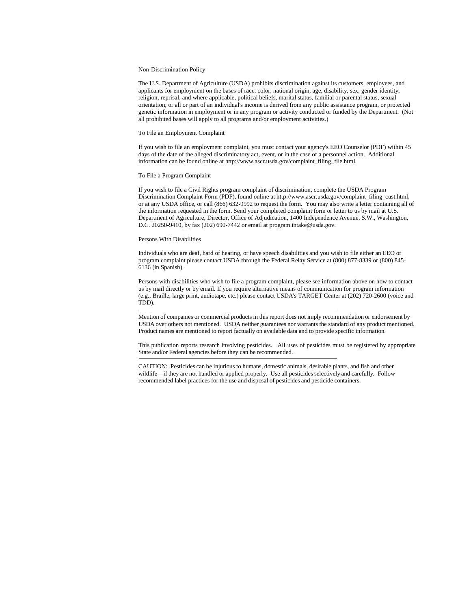#### Non-Discrimination Policy

The U.S. Department of Agriculture (USDA) prohibits discrimination against its customers, employees, and applicants for employment on the bases of race, color, national origin, age, disability, sex, gender identity, religion, reprisal, and where applicable, political beliefs, marital status, familial or parental status, sexual orientation, or all or part of an individual's income is derived from any public assistance program, or protected genetic information in employment or in any program or activity conducted or funded by the Department. (Not all prohibited bases will apply to all programs and/or employment activities.)

#### To File an Employment Complaint

If you wish to file an employment complaint, you must contact your agency's EEO Counselor (PDF) within 45 days of the date of the alleged discriminatory act, event, or in the case of a personnel action. Additional information can be found online at http://www.ascr.usda.gov/complaint\_filing\_file.html.

#### To File a Program Complaint

If you wish to file a Civil Rights program complaint of discrimination, complete the USDA Program Discrimination Complaint Form (PDF), found online at http://www.ascr.usda.gov/complaint\_filing\_cust.html, or at any USDA office, or call (866) 632-9992 to request the form. You may also write a letter containing all of the information requested in the form. Send your completed complaint form or letter to us by mail at U.S. Department of Agriculture, Director, Office of Adjudication, 1400 Independence Avenue, S.W., Washington, D.C. 20250-9410, by fax (202) 690-7442 or email at program.intake@usda.gov.

#### Persons With Disabilities

Individuals who are deaf, hard of hearing, or have speech disabilities and you wish to file either an EEO or program complaint please contact USDA through the Federal Relay Service at (800) 877-8339 or (800) 845- 6136 (in Spanish).

Persons with disabilities who wish to file a program complaint, please see information above on how to contact us by mail directly or by email. If you require alternative means of communication for program information (e.g., Braille, large print, audiotape, etc.) please contact USDA's TARGET Center at (202) 720-2600 (voice and TDD).

Mention of companies or commercial products in this report does not imply recommendation or endorsement by USDA over others not mentioned. USDA neither guarantees nor warrants the standard of any product mentioned. Product names are mentioned to report factually on available data and to provide specific information.

This publication reports research involving pesticides. All uses of pesticides must be registered by appropriate State and/or Federal agencies before they can be recommended.

CAUTION: Pesticides can be injurious to humans, domestic animals, desirable plants, and fish and other wildlife—if they are not handled or applied properly. Use all pesticides selectively and carefully. Follow recommended label practices for the use and disposal of pesticides and pesticide containers.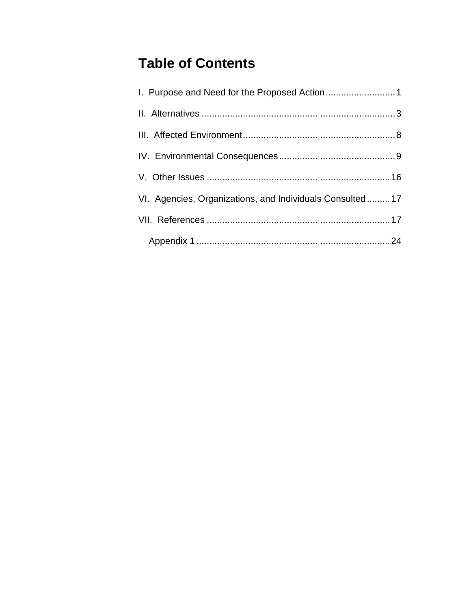# **Table of Contents**

| VI. Agencies, Organizations, and Individuals Consulted17 |  |
|----------------------------------------------------------|--|
|                                                          |  |
|                                                          |  |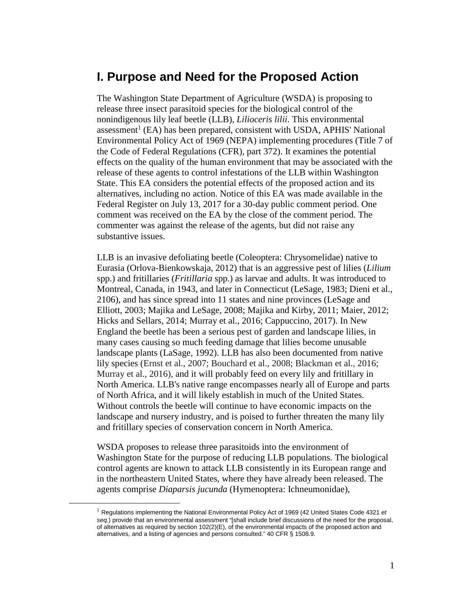### **I. Purpose and Need for the Proposed Action**

The Washington State Department of Agriculture (WSDA) is proposing to release three insect parasitoid species for the biological control of the nonindigenous lily leaf beetle (LLB), *Lilioceris lilii*. This environmental assessment<sup>1</sup> (EA) has been prepared, consistent with USDA, APHIS' National Environmental Policy Act of 1969 (NEPA) implementing procedures (Title 7 of the Code of Federal Regulations (CFR), part 372). It examines the potential effects on the quality of the human environment that may be associated with the release of these agents to control infestations of the LLB within Washington State. This EA considers the potential effects of the proposed action and its alternatives, including no action. Notice of this EA was made available in the Federal Register on July 13, 2017 for a 30-day public comment period. One comment was received on the EA by the close of the comment period. The commenter was against the release of the agents, but did not raise any substantive issues.

LLB is an invasive defoliating beetle (Coleoptera: Chrysomelidae) native to Eurasia (Orlova-Bienkowskaja, 2012) that is an aggressive pest of lilies (*Lilium* spp.) and fritillaries (*Fritillaria* spp.) as larvae and adults. It was introduced to Montreal, Canada, in 1943, and later in Connecticut (LeSage, 1983; Dieni et al., 2106), and has since spread into 11 states and nine provinces (LeSage and Elliott, 2003; Majika and LeSage, 2008; Majika and Kirby, 2011; Maier, 2012; Hicks and Sellars, 2014; Murray et al., 2016; Cappuccino, 2017). In New England the beetle has been a serious pest of garden and landscape lilies, in many cases causing so much feeding damage that lilies become unusable landscape plants (LaSage, 1992). LLB has also been documented from native lily species (Ernst et al., 2007; Bouchard et al., 2008; Blackman et al., 2016; Murray et al., 2016), and it will probably feed on every lily and fritillary in North America. LLB's native range encompasses nearly all of Europe and parts of North Africa, and it will likely establish in much of the United States. Without controls the beetle will continue to have economic impacts on the landscape and nursery industry, and is poised to further threaten the many lily and fritillary species of conservation concern in North America.

WSDA proposes to release three parasitoids into the environment of Washington State for the purpose of reducing LLB populations. The biological control agents are known to attack LLB consistently in its European range and in the northeastern United States, where they have already been released. The agents comprise *Diaparsis jucunda* (Hymenoptera: Ichneumonidae),

 <sup>1</sup> Regulations implementing the National Environmental Policy Act of 1969 (42 United States Code 4321 *et seq.*) provide that an environmental assessment "[shall include brief discussions of the need for the proposal, of alternatives as required by section 102(2)(E), of the environmental impacts of the proposed action and alternatives, and a listing of agencies and persons consulted." 40 CFR § 1508.9.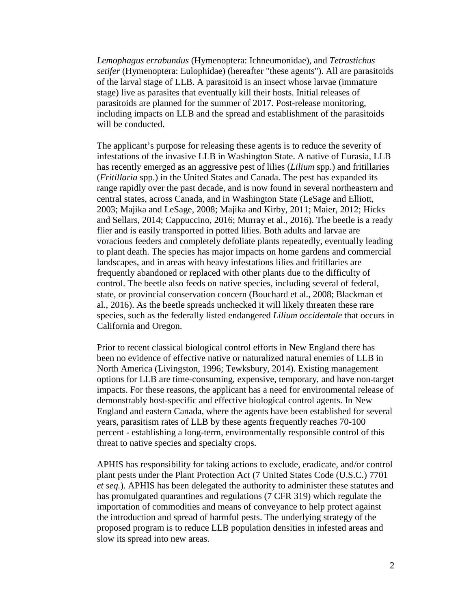*Lemophagus errabundus* (Hymenoptera: Ichneumonidae), and *Tetrastichus setifer* (Hymenoptera: Eulophidae) (hereafter "these agents"). All are parasitoids of the larval stage of LLB. A parasitoid is an insect whose larvae (immature stage) live as parasites that eventually kill their hosts. Initial releases of parasitoids are planned for the summer of 2017. Post-release monitoring, including impacts on LLB and the spread and establishment of the parasitoids will be conducted.

The applicant's purpose for releasing these agents is to reduce the severity of infestations of the invasive LLB in Washington State. A native of Eurasia, LLB has recently emerged as an aggressive pest of lilies (*Lilium* spp.) and fritillaries (*Fritillaria* spp.) in the United States and Canada. The pest has expanded its range rapidly over the past decade, and is now found in several northeastern and central states, across Canada, and in Washington State (LeSage and Elliott, 2003; Majika and LeSage, 2008; Majika and Kirby, 2011; Maier, 2012; Hicks and Sellars, 2014; Cappuccino, 2016; Murray et al., 2016). The beetle is a ready flier and is easily transported in potted lilies. Both adults and larvae are voracious feeders and completely defoliate plants repeatedly, eventually leading to plant death. The species has major impacts on home gardens and commercial landscapes, and in areas with heavy infestations lilies and fritillaries are frequently abandoned or replaced with other plants due to the difficulty of control. The beetle also feeds on native species, including several of federal, state, or provincial conservation concern (Bouchard et al., 2008; Blackman et al., 2016). As the beetle spreads unchecked it will likely threaten these rare species, such as the federally listed endangered *Lilium occidentale* that occurs in California and Oregon.

Prior to recent classical biological control efforts in New England there has been no evidence of effective native or naturalized natural enemies of LLB in North America (Livingston, 1996; Tewksbury, 2014). Existing management options for LLB are time-consuming, expensive, temporary, and have non-target impacts. For these reasons, the applicant has a need for environmental release of demonstrably host-specific and effective biological control agents. In New England and eastern Canada, where the agents have been established for several years, parasitism rates of LLB by these agents frequently reaches 70-100 percent - establishing a long-term, environmentally responsible control of this threat to native species and specialty crops.

APHIS has responsibility for taking actions to exclude, eradicate, and/or control plant pests under the Plant Protection Act (7 United States Code (U.S.C.) 7701 *et seq.*). APHIS has been delegated the authority to administer these statutes and has promulgated quarantines and regulations (7 CFR 319) which regulate the importation of commodities and means of conveyance to help protect against the introduction and spread of harmful pests. The underlying strategy of the proposed program is to reduce LLB population densities in infested areas and slow its spread into new areas.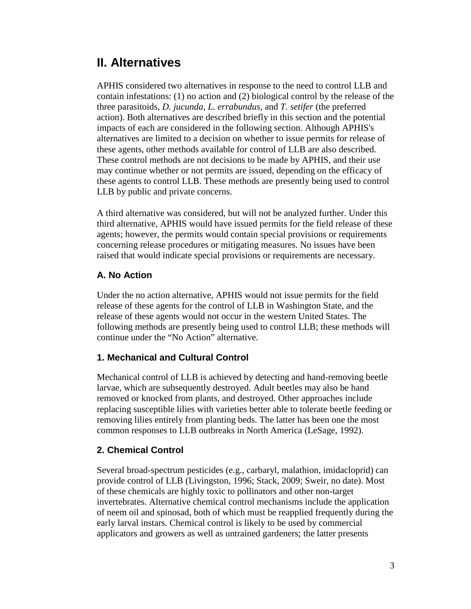## **II. Alternatives**

APHIS considered two alternatives in response to the need to control LLB and contain infestations: (1) no action and (2) biological control by the release of the three parasitoids, *D. jucunda, L. errabundus,* and *T. setifer* (the preferred action). Both alternatives are described briefly in this section and the potential impacts of each are considered in the following section. Although APHIS's alternatives are limited to a decision on whether to issue permits for release of these agents, other methods available for control of LLB are also described. These control methods are not decisions to be made by APHIS, and their use may continue whether or not permits are issued, depending on the efficacy of these agents to control LLB. These methods are presently being used to control LLB by public and private concerns.

A third alternative was considered, but will not be analyzed further. Under this third alternative, APHIS would have issued permits for the field release of these agents; however, the permits would contain special provisions or requirements concerning release procedures or mitigating measures. No issues have been raised that would indicate special provisions or requirements are necessary.

#### **A. No Action**

Under the no action alternative, APHIS would not issue permits for the field release of these agents for the control of LLB in Washington State, and the release of these agents would not occur in the western United States. The following methods are presently being used to control LLB; these methods will continue under the "No Action" alternative.

#### **1. Mechanical and Cultural Control**

Mechanical control of LLB is achieved by detecting and hand-removing beetle larvae, which are subsequently destroyed. Adult beetles may also be hand removed or knocked from plants, and destroyed. Other approaches include replacing susceptible lilies with varieties better able to tolerate beetle feeding or removing lilies entirely from planting beds. The latter has been one the most common responses to LLB outbreaks in North America (LeSage, 1992).

#### **2. Chemical Control**

Several broad-spectrum pesticides (e.g., carbaryl, malathion, imidacloprid) can provide control of LLB (Livingston, 1996; Stack, 2009; Sweir, no date). Most of these chemicals are highly toxic to pollinators and other non-target invertebrates. Alternative chemical control mechanisms include the application of neem oil and spinosad, both of which must be reapplied frequently during the early larval instars. Chemical control is likely to be used by commercial applicators and growers as well as untrained gardeners; the latter presents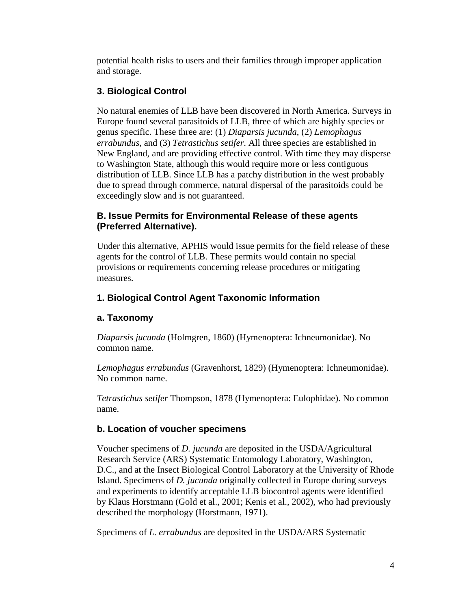potential health risks to users and their families through improper application and storage.

### **3. Biological Control**

No natural enemies of LLB have been discovered in North America. Surveys in Europe found several parasitoids of LLB, three of which are highly species or genus specific. These three are: (1) *Diaparsis jucunda*, (2) *Lemophagus errabundus*, and (3) *Tetrastichus setifer*. All three species are established in New England, and are providing effective control. With time they may disperse to Washington State, although this would require more or less contiguous distribution of LLB. Since LLB has a patchy distribution in the west probably due to spread through commerce, natural dispersal of the parasitoids could be exceedingly slow and is not guaranteed.

#### **B. Issue Permits for Environmental Release of these agents (Preferred Alternative).**

Under this alternative, APHIS would issue permits for the field release of these agents for the control of LLB. These permits would contain no special provisions or requirements concerning release procedures or mitigating measures.

### **1. Biological Control Agent Taxonomic Information**

#### **a. Taxonomy**

*Diaparsis jucunda* (Holmgren, 1860) (Hymenoptera: Ichneumonidae). No common name.

*Lemophagus errabundus* (Gravenhorst, 1829) (Hymenoptera: Ichneumonidae). No common name.

*Tetrastichus setifer* Thompson, 1878 (Hymenoptera: Eulophidae). No common name.

#### **b. Location of voucher specimens**

Voucher specimens of *D. jucunda* are deposited in the USDA/Agricultural Research Service (ARS) Systematic Entomology Laboratory, Washington, D.C., and at the Insect Biological Control Laboratory at the University of Rhode Island. Specimens of *D. jucunda* originally collected in Europe during surveys and experiments to identify acceptable LLB biocontrol agents were identified by Klaus Horstmann (Gold et al., 2001; Kenis et al., 2002), who had previously described the morphology (Horstmann, 1971).

Specimens of *L. errabundus* are deposited in the USDA/ARS Systematic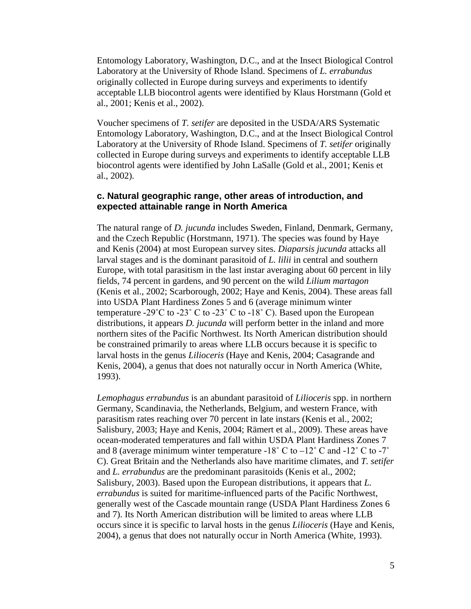Entomology Laboratory, Washington, D.C., and at the Insect Biological Control Laboratory at the University of Rhode Island. Specimens of *L. errabundus* originally collected in Europe during surveys and experiments to identify acceptable LLB biocontrol agents were identified by Klaus Horstmann (Gold et al., 2001; Kenis et al., 2002).

Voucher specimens of *T. setifer* are deposited in the USDA/ARS Systematic Entomology Laboratory, Washington, D.C., and at the Insect Biological Control Laboratory at the University of Rhode Island. Specimens of *T. setifer* originally collected in Europe during surveys and experiments to identify acceptable LLB biocontrol agents were identified by John LaSalle (Gold et al., 2001; Kenis et al., 2002).

#### **c. Natural geographic range, other areas of introduction, and expected attainable range in North America**

The natural range of *D. jucunda* includes Sweden, Finland, Denmark, Germany, and the Czech Republic (Horstmann, 1971). The species was found by Haye and Kenis (2004) at most European survey sites. *Diaparsis jucunda* attacks all larval stages and is the dominant parasitoid of *L. lilii* in central and southern Europe, with total parasitism in the last instar averaging about 60 percent in lily fields, 74 percent in gardens, and 90 percent on the wild *Lilium martagon* (Kenis et al., 2002; Scarborough, 2002; Haye and Kenis, 2004). These areas fall into USDA Plant Hardiness Zones 5 and 6 (average minimum winter temperature -29 $^{\circ}$ C to -23 $^{\circ}$  C to -23 $^{\circ}$  C to -18 $^{\circ}$  C). Based upon the European distributions, it appears *D. jucunda* will perform better in the inland and more northern sites of the Pacific Northwest. Its North American distribution should be constrained primarily to areas where LLB occurs because it is specific to larval hosts in the genus *Lilioceris* (Haye and Kenis, 2004; Casagrande and Kenis, 2004), a genus that does not naturally occur in North America (White, 1993).

*Lemophagus errabundus* is an abundant parasitoid of *Lilioceris* spp. in northern Germany, Scandinavia, the Netherlands, Belgium, and western France, with parasitism rates reaching over 70 percent in late instars (Kenis et al., 2002; Salisbury, 2003; Haye and Kenis, 2004; Rämert et al., 2009). These areas have ocean-moderated temperatures and fall within USDA Plant Hardiness Zones 7 and 8 (average minimum winter temperature -18 $^{\circ}$  C to -12 $^{\circ}$  C and -12 $^{\circ}$  C to -7 $^{\circ}$ C). Great Britain and the Netherlands also have maritime climates, and *T. setifer* and *L. errabundus* are the predominant parasitoids (Kenis et al., 2002; Salisbury, 2003). Based upon the European distributions, it appears that *L. errabundus* is suited for maritime-influenced parts of the Pacific Northwest, generally west of the Cascade mountain range (USDA Plant Hardiness Zones 6 and 7). Its North American distribution will be limited to areas where LLB occurs since it is specific to larval hosts in the genus *Lilioceris* (Haye and Kenis, 2004), a genus that does not naturally occur in North America (White, 1993).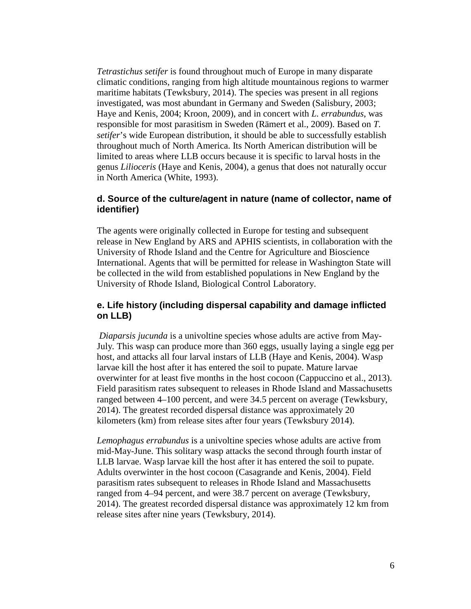*Tetrastichus setifer* is found throughout much of Europe in many disparate climatic conditions, ranging from high altitude mountainous regions to warmer maritime habitats (Tewksbury, 2014). The species was present in all regions investigated, was most abundant in Germany and Sweden (Salisbury, 2003; Haye and Kenis, 2004; Kroon, 2009), and in concert with *L. errabundus*, was responsible for most parasitism in Sweden (Rämert et al., 2009). Based on *T. setifer*'s wide European distribution, it should be able to successfully establish throughout much of North America. Its North American distribution will be limited to areas where LLB occurs because it is specific to larval hosts in the genus *Lilioceris* (Haye and Kenis, 2004), a genus that does not naturally occur in North America (White, 1993).

#### **d. Source of the culture/agent in nature (name of collector, name of identifier)**

The agents were originally collected in Europe for testing and subsequent release in New England by ARS and APHIS scientists, in collaboration with the University of Rhode Island and the Centre for Agriculture and Bioscience International. Agents that will be permitted for release in Washington State will be collected in the wild from established populations in New England by the University of Rhode Island, Biological Control Laboratory.

#### **e. Life history (including dispersal capability and damage inflicted on LLB)**

*Diaparsis jucunda* is a univoltine species whose adults are active from May-July*.* This wasp can produce more than 360 eggs, usually laying a single egg per host, and attacks all four larval instars of LLB (Haye and Kenis, 2004). Wasp larvae kill the host after it has entered the soil to pupate. Mature larvae overwinter for at least five months in the host cocoon (Cappuccino et al., 2013). Field parasitism rates subsequent to releases in Rhode Island and Massachusetts ranged between 4–100 percent, and were 34.5 percent on average (Tewksbury, 2014). The greatest recorded dispersal distance was approximately 20 kilometers (km) from release sites after four years (Tewksbury 2014).

*Lemophagus errabundus* is a univoltine species whose adults are active from mid-May-June. This solitary wasp attacks the second through fourth instar of LLB larvae. Wasp larvae kill the host after it has entered the soil to pupate. Adults overwinter in the host cocoon (Casagrande and Kenis, 2004). Field parasitism rates subsequent to releases in Rhode Island and Massachusetts ranged from 4–94 percent, and were 38.7 percent on average (Tewksbury, 2014). The greatest recorded dispersal distance was approximately 12 km from release sites after nine years (Tewksbury, 2014).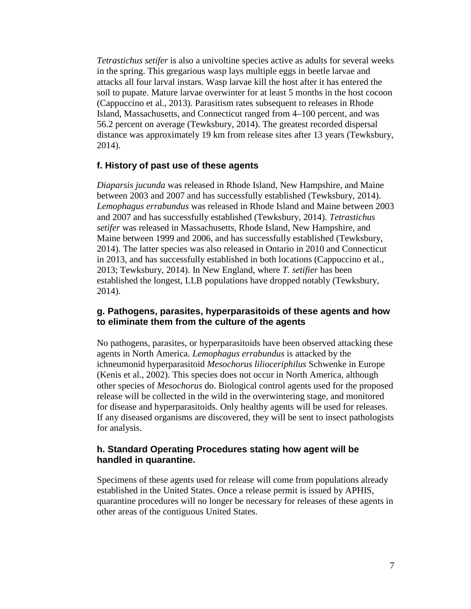*Tetrastichus setifer* is also a univoltine species active as adults for several weeks in the spring. This gregarious wasp lays multiple eggs in beetle larvae and attacks all four larval instars. Wasp larvae kill the host after it has entered the soil to pupate. Mature larvae overwinter for at least 5 months in the host cocoon (Cappuccino et al., 2013). Parasitism rates subsequent to releases in Rhode Island, Massachusetts, and Connecticut ranged from 4–100 percent, and was 56.2 percent on average (Tewksbury, 2014). The greatest recorded dispersal distance was approximately 19 km from release sites after 13 years (Tewksbury, 2014).

#### **f. History of past use of these agents**

*Diaparsis jucunda* was released in Rhode Island, New Hampshire, and Maine between 2003 and 2007 and has successfully established (Tewksbury, 2014). *Lemophagus errabundus* was released in Rhode Island and Maine between 2003 and 2007 and has successfully established (Tewksbury, 2014). *Tetrastichus setifer* was released in Massachusetts, Rhode Island, New Hampshire, and Maine between 1999 and 2006, and has successfully established (Tewksbury, 2014). The latter species was also released in Ontario in 2010 and Connecticut in 2013, and has successfully established in both locations (Cappuccino et al., 2013; Tewksbury, 2014). In New England, where *T. setifier* has been established the longest, LLB populations have dropped notably (Tewksbury, 2014).

#### **g. Pathogens, parasites, hyperparasitoids of these agents and how to eliminate them from the culture of the agents**

No pathogens, parasites, or hyperparasitoids have been observed attacking these agents in North America. *Lemophagus errabundus* is attacked by the ichneumonid hyperparasitoid *Mesochorus lilioceriphilus* Schwenke in Europe (Kenis et al., 2002). This species does not occur in North America, although other species of *Mesochorus* do. Biological control agents used for the proposed release will be collected in the wild in the overwintering stage, and monitored for disease and hyperparasitoids. Only healthy agents will be used for releases. If any diseased organisms are discovered, they will be sent to insect pathologists for analysis.

#### **h. Standard Operating Procedures stating how agent will be handled in quarantine.**

Specimens of these agents used for release will come from populations already established in the United States. Once a release permit is issued by APHIS, quarantine procedures will no longer be necessary for releases of these agents in other areas of the contiguous United States.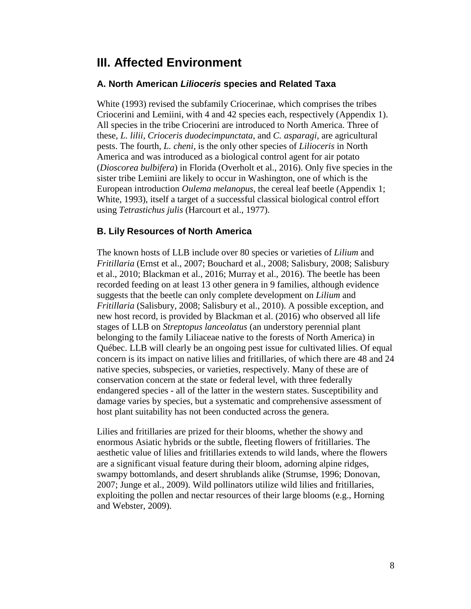## **III. Affected Environment**

#### **A. North American** *Lilioceris* **species and Related Taxa**

White (1993) revised the subfamily Criocerinae, which comprises the tribes Criocerini and Lemiini, with 4 and 42 species each, respectively (Appendix 1). All species in the tribe Criocerini are introduced to North America. Three of these, *L. lilii*, *Crioceris duodecimpunctata*, and *C. asparagi,* are agricultural pests. The fourth, *L. cheni*, is the only other species of *Lilioceris* in North America and was introduced as a biological control agent for air potato (*Dioscorea bulbifera*) in Florida (Overholt et al., 2016). Only five species in the sister tribe Lemiini are likely to occur in Washington, one of which is the European introduction *Oulema melanopus*, the cereal leaf beetle (Appendix 1; White, 1993), itself a target of a successful classical biological control effort using *Tetrastichus julis* (Harcourt et al., 1977).

#### **B. Lily Resources of North America**

The known hosts of LLB include over 80 species or varieties of *Lilium* and *Fritillaria* (Ernst et al., 2007; Bouchard et al., 2008; Salisbury, 2008; Salisbury et al., 2010; Blackman et al., 2016; Murray et al., 2016). The beetle has been recorded feeding on at least 13 other genera in 9 families, although evidence suggests that the beetle can only complete development on *Lilium* and *Fritillaria* (Salisbury, 2008; Salisbury et al., 2010). A possible exception, and new host record, is provided by Blackman et al. (2016) who observed all life stages of LLB on *Streptopus lanceolatus* (an understory perennial plant belonging to the family Liliaceae native to the forests of North America) in Québec. LLB will clearly be an ongoing pest issue for cultivated lilies. Of equal concern is its impact on native lilies and fritillaries, of which there are 48 and 24 native species, subspecies, or varieties, respectively. Many of these are of conservation concern at the state or federal level, with three federally endangered species - all of the latter in the western states. Susceptibility and damage varies by species, but a systematic and comprehensive assessment of host plant suitability has not been conducted across the genera.

Lilies and fritillaries are prized for their blooms, whether the showy and enormous Asiatic hybrids or the subtle, fleeting flowers of fritillaries. The aesthetic value of lilies and fritillaries extends to wild lands, where the flowers are a significant visual feature during their bloom, adorning alpine ridges, swampy bottomlands, and desert shrublands alike (Strumse, 1996; Donovan, 2007; Junge et al., 2009). Wild pollinators utilize wild lilies and fritillaries, exploiting the pollen and nectar resources of their large blooms (e.g., Horning and Webster, 2009).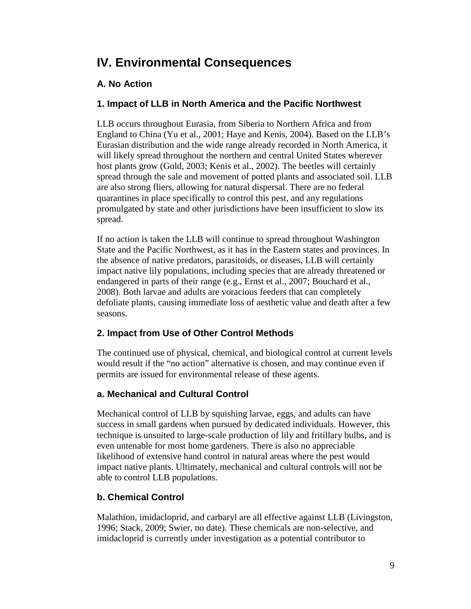## **IV. Environmental Consequences**

### **A. No Action**

#### **1. Impact of LLB in North America and the Pacific Northwest**

LLB occurs throughout Eurasia, from Siberia to Northern Africa and from England to China (Yu et al., 2001; Haye and Kenis, 2004). Based on the LLB's Eurasian distribution and the wide range already recorded in North America, it will likely spread throughout the northern and central United States wherever host plants grow (Gold, 2003; Kenis et al., 2002). The beetles will certainly spread through the sale and movement of potted plants and associated soil. LLB are also strong fliers, allowing for natural dispersal. There are no federal quarantines in place specifically to control this pest, and any regulations promulgated by state and other jurisdictions have been insufficient to slow its spread.

If no action is taken the LLB will continue to spread throughout Washington State and the Pacific Northwest, as it has in the Eastern states and provinces. In the absence of native predators, parasitoids, or diseases, LLB will certainly impact native lily populations, including species that are already threatened or endangered in parts of their range (e.g., Ernst et al., 2007; Bouchard et al., 2008). Both larvae and adults are voracious feeders that can completely defoliate plants, causing immediate loss of aesthetic value and death after a few seasons.

### **2. Impact from Use of Other Control Methods**

The continued use of physical, chemical, and biological control at current levels would result if the "no action" alternative is chosen, and may continue even if permits are issued for environmental release of these agents.

#### **a. Mechanical and Cultural Control**

Mechanical control of LLB by squishing larvae, eggs, and adults can have success in small gardens when pursued by dedicated individuals. However, this technique is unsuited to large-scale production of lily and fritillary bulbs, and is even untenable for most home gardeners. There is also no appreciable likelihood of extensive hand control in natural areas where the pest would impact native plants. Ultimately, mechanical and cultural controls will not be able to control LLB populations.

### **b. Chemical Control**

Malathion, imidacloprid, and carbaryl are all effective against LLB (Livingston, 1996; Stack, 2009; Swier, no date). These chemicals are non-selective, and imidacloprid is currently under investigation as a potential contributor to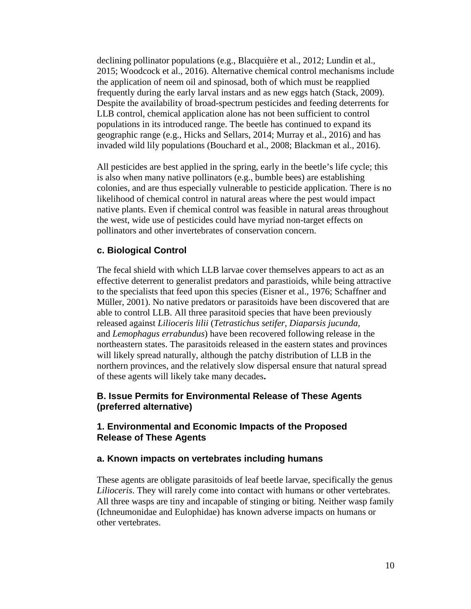declining pollinator populations (e.g., Blacquière et al., 2012; Lundin et al., 2015; Woodcock et al., 2016). Alternative chemical control mechanisms include the application of neem oil and spinosad, both of which must be reapplied frequently during the early larval instars and as new eggs hatch (Stack, 2009). Despite the availability of broad-spectrum pesticides and feeding deterrents for LLB control, chemical application alone has not been sufficient to control populations in its introduced range. The beetle has continued to expand its geographic range (e.g., Hicks and Sellars, 2014; Murray et al., 2016) and has invaded wild lily populations (Bouchard et al., 2008; Blackman et al., 2016).

All pesticides are best applied in the spring, early in the beetle's life cycle; this is also when many native pollinators (e.g., bumble bees) are establishing colonies, and are thus especially vulnerable to pesticide application. There is no likelihood of chemical control in natural areas where the pest would impact native plants. Even if chemical control was feasible in natural areas throughout the west, wide use of pesticides could have myriad non-target effects on pollinators and other invertebrates of conservation concern.

#### **c. Biological Control**

The fecal shield with which LLB larvae cover themselves appears to act as an effective deterrent to generalist predators and parastioids, while being attractive to the specialists that feed upon this species (Eisner et al., 1976; Schaffner and Müller, 2001). No native predators or parasitoids have been discovered that are able to control LLB. All three parasitoid species that have been previously released against *Lilioceris lilii* (*Tetrastichus setifer, Diaparsis jucunda,*  and *Lemophagus errabundus*) have been recovered following release in the northeastern states. The parasitoids released in the eastern states and provinces will likely spread naturally, although the patchy distribution of LLB in the northern provinces, and the relatively slow dispersal ensure that natural spread of these agents will likely take many decades**.**

#### **B. Issue Permits for Environmental Release of These Agents (preferred alternative)**

#### **1. Environmental and Economic Impacts of the Proposed Release of These Agents**

#### **a. Known impacts on vertebrates including humans**

These agents are obligate parasitoids of leaf beetle larvae, specifically the genus *Lilioceris*. They will rarely come into contact with humans or other vertebrates. All three wasps are tiny and incapable of stinging or biting. Neither wasp family (Ichneumonidae and Eulophidae) has known adverse impacts on humans or other vertebrates.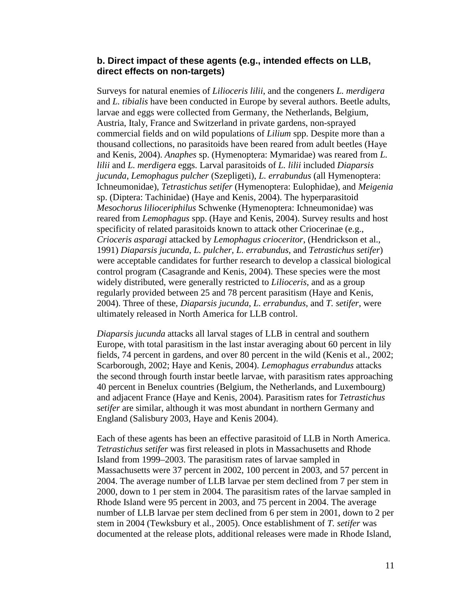#### **b. Direct impact of these agents (e.g., intended effects on LLB, direct effects on non-targets)**

Surveys for natural enemies of *Lilioceris lilii*, and the congeners *L. merdigera* and *L. tibialis* have been conducted in Europe by several authors. Beetle adults, larvae and eggs were collected from Germany, the Netherlands, Belgium, Austria, Italy, France and Switzerland in private gardens, non-sprayed commercial fields and on wild populations of *Lilium* spp. Despite more than a thousand collections, no parasitoids have been reared from adult beetles (Haye and Kenis, 2004). *Anaphes* sp. (Hymenoptera: Mymaridae) was reared from *L. lilii* and *L. merdigera* eggs. Larval parasitoids of *L. lilii* included *Diaparsis jucunda*, *Lemophagus pulcher* (Szepligeti), *L. errabundus* (all Hymenoptera: Ichneumonidae), *Tetrastichus setifer* (Hymenoptera: Eulophidae), and *Meigenia* sp. (Diptera: Tachinidae) (Haye and Kenis, 2004). The hyperparasitoid *Mesochorus lilioceriphilus* Schwenke (Hymenoptera: Ichneumonidae) was reared from *Lemophagus* spp. (Haye and Kenis, 2004). Survey results and host specificity of related parasitoids known to attack other Criocerinae (e.g., *Crioceris asparagi* attacked by *Lemophagus crioceritor*, (Hendrickson et al., 1991) *Diaparsis jucunda*, *L. pulcher*, *L. errabundus*, and *Tetrastichus setifer*) were acceptable candidates for further research to develop a classical biological control program (Casagrande and Kenis, 2004). These species were the most widely distributed, were generally restricted to *Lilioceris*, and as a group regularly provided between 25 and 78 percent parasitism (Haye and Kenis, 2004). Three of these, *Diaparsis jucunda*, *L. errabundus*, and *T. setifer*, were ultimately released in North America for LLB control.

*Diaparsis jucunda* attacks all larval stages of LLB in central and southern Europe, with total parasitism in the last instar averaging about 60 percent in lily fields, 74 percent in gardens, and over 80 percent in the wild (Kenis et al., 2002; Scarborough, 2002; Haye and Kenis, 2004). *Lemophagus errabundus* attacks the second through fourth instar beetle larvae, with parasitism rates approaching 40 percent in Benelux countries (Belgium, the Netherlands, and Luxembourg) and adjacent France (Haye and Kenis, 2004). Parasitism rates for *Tetrastichus setifer* are similar, although it was most abundant in northern Germany and England (Salisbury 2003, Haye and Kenis 2004).

Each of these agents has been an effective parasitoid of LLB in North America. *Tetrastichus setifer* was first released in plots in Massachusetts and Rhode Island from 1999–2003. The parasitism rates of larvae sampled in Massachusetts were 37 percent in 2002, 100 percent in 2003, and 57 percent in 2004. The average number of LLB larvae per stem declined from 7 per stem in 2000, down to 1 per stem in 2004. The parasitism rates of the larvae sampled in Rhode Island were 95 percent in 2003, and 75 percent in 2004. The average number of LLB larvae per stem declined from 6 per stem in 2001, down to 2 per stem in 2004 (Tewksbury et al., 2005). Once establishment of *T. setifer* was documented at the release plots, additional releases were made in Rhode Island,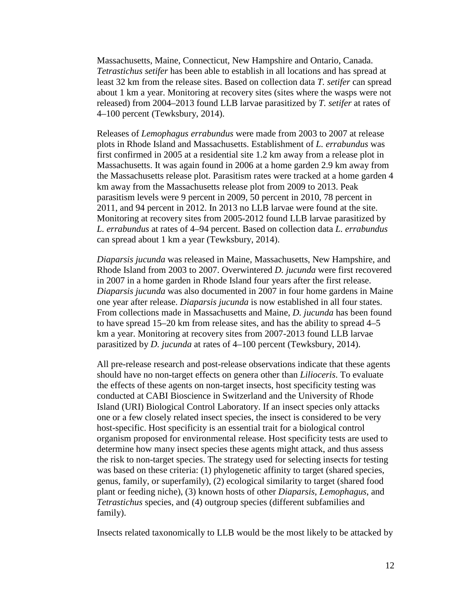Massachusetts, Maine, Connecticut, New Hampshire and Ontario, Canada. *Tetrastichus setifer* has been able to establish in all locations and has spread at least 32 km from the release sites. Based on collection data *T. setifer* can spread about 1 km a year. Monitoring at recovery sites (sites where the wasps were not released) from 2004–2013 found LLB larvae parasitized by *T. setifer* at rates of 4–100 percent (Tewksbury, 2014).

Releases of *Lemophagus errabundus* were made from 2003 to 2007 at release plots in Rhode Island and Massachusetts. Establishment of *L. errabundus* was first confirmed in 2005 at a residential site 1.2 km away from a release plot in Massachusetts. It was again found in 2006 at a home garden 2.9 km away from the Massachusetts release plot. Parasitism rates were tracked at a home garden 4 km away from the Massachusetts release plot from 2009 to 2013. Peak parasitism levels were 9 percent in 2009, 50 percent in 2010, 78 percent in 2011, and 94 percent in 2012. In 2013 no LLB larvae were found at the site. Monitoring at recovery sites from 2005-2012 found LLB larvae parasitized by *L. errabundus* at rates of 4–94 percent. Based on collection data *L. errabundus*  can spread about 1 km a year (Tewksbury, 2014).

*Diaparsis jucunda* was released in Maine, Massachusetts, New Hampshire, and Rhode Island from 2003 to 2007. Overwintered *D. jucunda* were first recovered in 2007 in a home garden in Rhode Island four years after the first release. *Diaparsis jucunda* was also documented in 2007 in four home gardens in Maine one year after release. *Diaparsis jucunda* is now established in all four states. From collections made in Massachusetts and Maine, *D. jucunda* has been found to have spread 15–20 km from release sites, and has the ability to spread 4–5 km a year. Monitoring at recovery sites from 2007-2013 found LLB larvae parasitized by *D. jucunda* at rates of 4–100 percent (Tewksbury, 2014).

All pre-release research and post-release observations indicate that these agents should have no non-target effects on genera other than *Lilioceris*. To evaluate the effects of these agents on non-target insects, host specificity testing was conducted at CABI Bioscience in Switzerland and the University of Rhode Island (URI) Biological Control Laboratory. If an insect species only attacks one or a few closely related insect species, the insect is considered to be very host-specific. Host specificity is an essential trait for a biological control organism proposed for environmental release. Host specificity tests are used to determine how many insect species these agents might attack, and thus assess the risk to non-target species. The strategy used for selecting insects for testing was based on these criteria: (1) phylogenetic affinity to target (shared species, genus, family, or superfamily), (2) ecological similarity to target (shared food plant or feeding niche), (3) known hosts of other *Diaparsis*, *Lemophagus*, and *Tetrastichus* species, and (4) outgroup species (different subfamilies and family).

Insects related taxonomically to LLB would be the most likely to be attacked by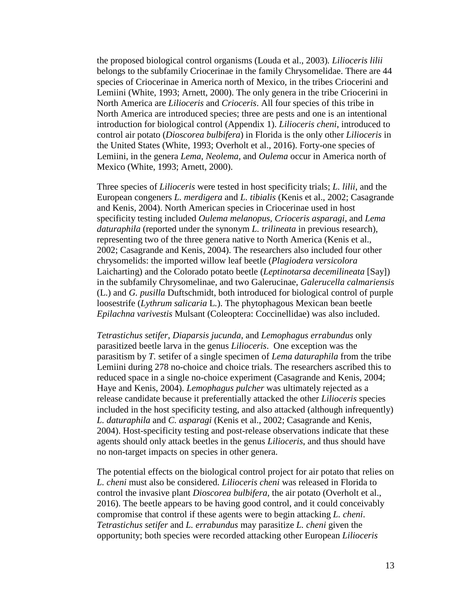the proposed biological control organisms (Louda et al., 2003)*. Lilioceris lilii* belongs to the subfamily Criocerinae in the family Chrysomelidae. There are 44 species of Criocerinae in America north of Mexico, in the tribes Criocerini and Lemiini (White, 1993; Arnett, 2000). The only genera in the tribe Criocerini in North America are *Lilioceris* and *Crioceris*. All four species of this tribe in North America are introduced species; three are pests and one is an intentional introduction for biological control (Appendix 1). *Lilioceris cheni*, introduced to control air potato (*Dioscorea bulbifera*) in Florida is the only other *Lilioceris* in the United States (White, 1993; Overholt et al., 2016). Forty-one species of Lemiini, in the genera *Lema*, *Neolema*, and *Oulema* occur in America north of Mexico (White, 1993; Arnett, 2000).

Three species of *Lilioceris* were tested in host specificity trials; *L. lilii*, and the European congeners *L. merdigera* and *L. tibialis* (Kenis et al., 2002; Casagrande and Kenis, 2004). North American species in Criocerinae used in host specificity testing included *Oulema melanopus, Crioceris asparagi,* and *Lema daturaphila* (reported under the synonym *L. trilineata* in previous research), representing two of the three genera native to North America (Kenis et al., 2002; Casagrande and Kenis, 2004). The researchers also included four other chrysomelids: the imported willow leaf beetle (*Plagiodera versicolora*  Laicharting) and the Colorado potato beetle (*Leptinotarsa decemilineata* [Say]) in the subfamily Chrysomelinae, and two Galerucinae, *Galerucella calmariensis* (L.) and *G. pusilla* Duftschmidt, both introduced for biological control of purple loosestrife (*Lythrum salicaria* L*.*). The phytophagous Mexican bean beetle *Epilachna varivestis* Mulsant (Coleoptera: Coccinellidae) was also included.

*Tetrastichus setifer*, *Diaparsis jucunda,* and *Lemophagus errabundus* only parasitized beetle larva in the genus *Lilioceris*. One exception was the parasitism by *T.* setifer of a single specimen of *Lema daturaphila* from the tribe Lemiini during 278 no-choice and choice trials. The researchers ascribed this to reduced space in a single no-choice experiment (Casagrande and Kenis, 2004; Haye and Kenis, 2004). *Lemophagus pulcher* was ultimately rejected as a release candidate because it preferentially attacked the other *Lilioceris* species included in the host specificity testing, and also attacked (although infrequently) *L. daturaphila* and *C. asparagi* (Kenis et al., 2002; Casagrande and Kenis, 2004). Host-specificity testing and post-release observations indicate that these agents should only attack beetles in the genus *Lilioceris*, and thus should have no non-target impacts on species in other genera.

The potential effects on the biological control project for air potato that relies on *L. cheni* must also be considered. *Lilioceris cheni* was released in Florida to control the invasive plant *Dioscorea bulbifera*, the air potato (Overholt et al., 2016). The beetle appears to be having good control, and it could conceivably compromise that control if these agents were to begin attacking *L. cheni*. *Tetrastichus setifer* and *L. errabundus* may parasitize *L. cheni* given the opportunity; both species were recorded attacking other European *Lilioceris*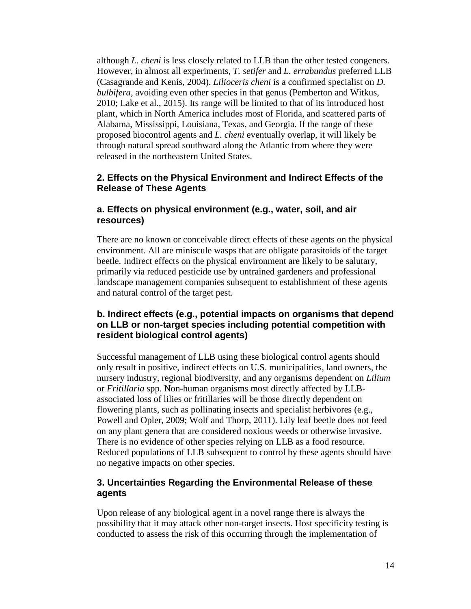although *L. cheni* is less closely related to LLB than the other tested congeners. However, in almost all experiments, *T. setifer* and *L. errabundus* preferred LLB (Casagrande and Kenis, 2004). *Lilioceris cheni* is a confirmed specialist on *D. bulbifera*, avoiding even other species in that genus (Pemberton and Witkus, 2010; Lake et al., 2015). Its range will be limited to that of its introduced host plant, which in North America includes most of Florida, and scattered parts of Alabama, Mississippi, Louisiana, Texas, and Georgia. If the range of these proposed biocontrol agents and *L. cheni* eventually overlap, it will likely be through natural spread southward along the Atlantic from where they were released in the northeastern United States.

#### **2. Effects on the Physical Environment and Indirect Effects of the Release of These Agents**

#### **a. Effects on physical environment (e.g., water, soil, and air resources)**

There are no known or conceivable direct effects of these agents on the physical environment. All are miniscule wasps that are obligate parasitoids of the target beetle. Indirect effects on the physical environment are likely to be salutary, primarily via reduced pesticide use by untrained gardeners and professional landscape management companies subsequent to establishment of these agents and natural control of the target pest.

#### **b. Indirect effects (e.g., potential impacts on organisms that depend on LLB or non-target species including potential competition with resident biological control agents)**

Successful management of LLB using these biological control agents should only result in positive, indirect effects on U.S. municipalities, land owners, the nursery industry, regional biodiversity, and any organisms dependent on *Lilium* or *Fritillaria* spp. Non-human organisms most directly affected by LLBassociated loss of lilies or fritillaries will be those directly dependent on flowering plants, such as pollinating insects and specialist herbivores (e.g., Powell and Opler, 2009; Wolf and Thorp, 2011). Lily leaf beetle does not feed on any plant genera that are considered noxious weeds or otherwise invasive. There is no evidence of other species relying on LLB as a food resource. Reduced populations of LLB subsequent to control by these agents should have no negative impacts on other species.

#### **3. Uncertainties Regarding the Environmental Release of these agents**

Upon release of any biological agent in a novel range there is always the possibility that it may attack other non-target insects. Host specificity testing is conducted to assess the risk of this occurring through the implementation of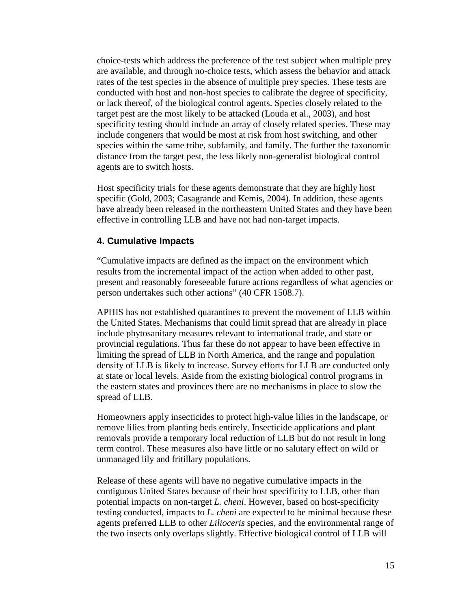choice-tests which address the preference of the test subject when multiple prey are available, and through no-choice tests, which assess the behavior and attack rates of the test species in the absence of multiple prey species. These tests are conducted with host and non-host species to calibrate the degree of specificity, or lack thereof, of the biological control agents. Species closely related to the target pest are the most likely to be attacked (Louda et al., 2003), and host specificity testing should include an array of closely related species. These may include congeners that would be most at risk from host switching, and other species within the same tribe, subfamily, and family. The further the taxonomic distance from the target pest, the less likely non-generalist biological control agents are to switch hosts.

Host specificity trials for these agents demonstrate that they are highly host specific (Gold, 2003; Casagrande and Kemis, 2004). In addition, these agents have already been released in the northeastern United States and they have been effective in controlling LLB and have not had non-target impacts.

#### **4. Cumulative Impacts**

"Cumulative impacts are defined as the impact on the environment which results from the incremental impact of the action when added to other past, present and reasonably foreseeable future actions regardless of what agencies or person undertakes such other actions" (40 CFR 1508.7).

APHIS has not established quarantines to prevent the movement of LLB within the United States. Mechanisms that could limit spread that are already in place include phytosanitary measures relevant to international trade, and state or provincial regulations. Thus far these do not appear to have been effective in limiting the spread of LLB in North America, and the range and population density of LLB is likely to increase. Survey efforts for LLB are conducted only at state or local levels. Aside from the existing biological control programs in the eastern states and provinces there are no mechanisms in place to slow the spread of LLB.

Homeowners apply insecticides to protect high-value lilies in the landscape, or remove lilies from planting beds entirely. Insecticide applications and plant removals provide a temporary local reduction of LLB but do not result in long term control. These measures also have little or no salutary effect on wild or unmanaged lily and fritillary populations.

Release of these agents will have no negative cumulative impacts in the contiguous United States because of their host specificity to LLB, other than potential impacts on non-target *L. cheni*. However, based on host-specificity testing conducted, impacts to *L. cheni* are expected to be minimal because these agents preferred LLB to other *Lilioceris* species, and the environmental range of the two insects only overlaps slightly. Effective biological control of LLB will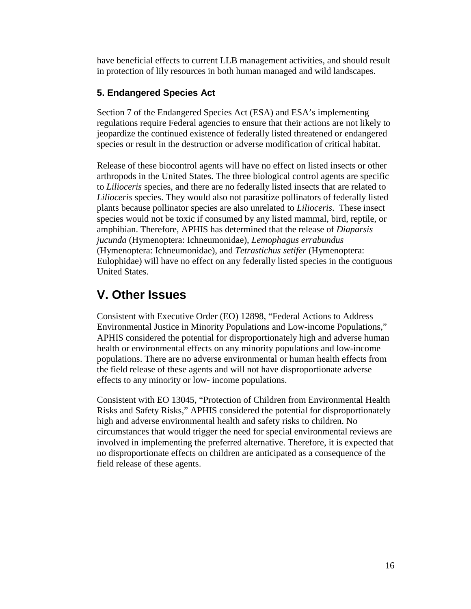have beneficial effects to current LLB management activities, and should result in protection of lily resources in both human managed and wild landscapes.

#### **5. Endangered Species Act**

Section 7 of the Endangered Species Act (ESA) and ESA's implementing regulations require Federal agencies to ensure that their actions are not likely to jeopardize the continued existence of federally listed threatened or endangered species or result in the destruction or adverse modification of critical habitat.

Release of these biocontrol agents will have no effect on listed insects or other arthropods in the United States. The three biological control agents are specific to *Lilioceris* species, and there are no federally listed insects that are related to *Lilioceris* species. They would also not parasitize pollinators of federally listed plants because pollinator species are also unrelated to *Lilioceris*. These insect species would not be toxic if consumed by any listed mammal, bird, reptile, or amphibian. Therefore, APHIS has determined that the release of *Diaparsis jucunda* (Hymenoptera: Ichneumonidae), *Lemophagus errabundus* (Hymenoptera: Ichneumonidae), and *Tetrastichus setifer* (Hymenoptera: Eulophidae) will have no effect on any federally listed species in the contiguous United States.

## **V. Other Issues**

Consistent with Executive Order (EO) 12898, "Federal Actions to Address Environmental Justice in Minority Populations and Low-income Populations," APHIS considered the potential for disproportionately high and adverse human health or environmental effects on any minority populations and low-income populations. There are no adverse environmental or human health effects from the field release of these agents and will not have disproportionate adverse effects to any minority or low- income populations.

Consistent with EO 13045, "Protection of Children from Environmental Health Risks and Safety Risks," APHIS considered the potential for disproportionately high and adverse environmental health and safety risks to children. No circumstances that would trigger the need for special environmental reviews are involved in implementing the preferred alternative. Therefore, it is expected that no disproportionate effects on children are anticipated as a consequence of the field release of these agents.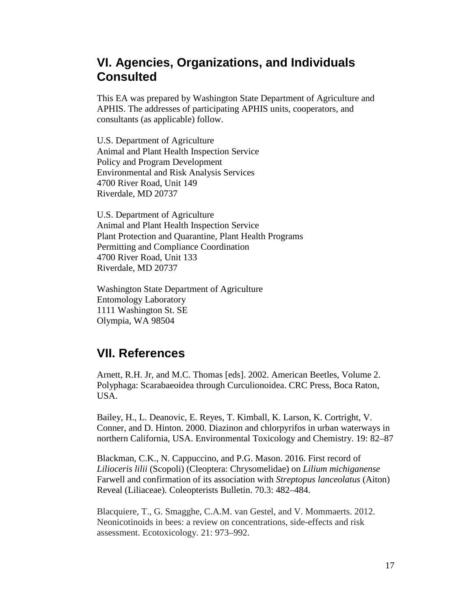## **VI. Agencies, Organizations, and Individuals Consulted**

This EA was prepared by Washington State Department of Agriculture and APHIS. The addresses of participating APHIS units, cooperators, and consultants (as applicable) follow.

U.S. Department of Agriculture Animal and Plant Health Inspection Service Policy and Program Development Environmental and Risk Analysis Services 4700 River Road, Unit 149 Riverdale, MD 20737

U.S. Department of Agriculture Animal and Plant Health Inspection Service Plant Protection and Quarantine, Plant Health Programs Permitting and Compliance Coordination 4700 River Road, Unit 133 Riverdale, MD 20737

Washington State Department of Agriculture Entomology Laboratory 1111 Washington St. SE Olympia, WA 98504

### **VII. References**

Arnett, R.H. Jr, and M.C. Thomas [eds]. 2002. American Beetles, Volume 2. Polyphaga: Scarabaeoidea through Curculionoidea. CRC Press, Boca Raton, USA.

Bailey, H., L. Deanovic, E. Reyes, T. Kimball, K. Larson, K. Cortright, V. Conner, and D. Hinton. 2000. Diazinon and chlorpyrifos in urban waterways in northern California, USA. Environmental Toxicology and Chemistry. 19: 82–87

Blackman, C.K., N. Cappuccino, and P.G. Mason. 2016. First record of *Lilioceris lilii* (Scopoli) (Cleoptera: Chrysomelidae) on *Lilium michiganense* Farwell and confirmation of its association with *Streptopus lanceolatus* (Aiton) Reveal (Liliaceae). Coleopterists Bulletin. 70.3: 482–484.

Blacquiere, T., G. Smagghe, C.A.M. van Gestel, and V. Mommaerts. 2012. Neonicotinoids in bees: a review on concentrations, side-effects and risk assessment. Ecotoxicology. 21: 973–992.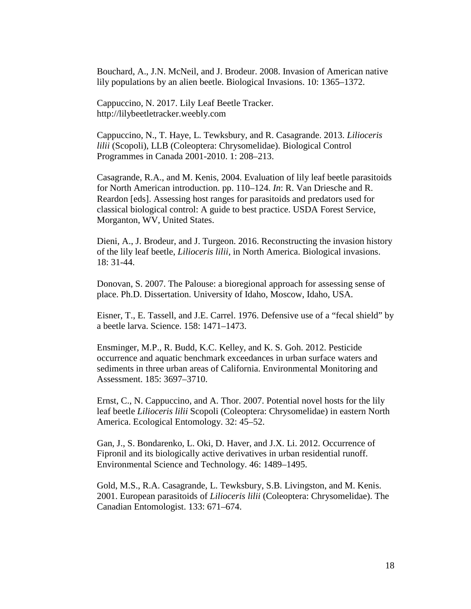Bouchard, A., J.N. McNeil, and J. Brodeur. 2008. Invasion of American native lily populations by an alien beetle. Biological Invasions. 10: 1365–1372.

Cappuccino, N. 2017. Lily Leaf Beetle Tracker. http://lilybeetletracker.weebly.com

Cappuccino, N., T. Haye, L. Tewksbury, and R. Casagrande. 2013. *Lilioceris lilii* (Scopoli), LLB (Coleoptera: Chrysomelidae). Biological Control Programmes in Canada 2001-2010. 1: 208–213.

Casagrande, R.A., and M. Kenis, 2004. Evaluation of lily leaf beetle parasitoids for North American introduction. pp. 110–124. *In*: R. Van Driesche and R. Reardon [eds]. Assessing host ranges for parasitoids and predators used for classical biological control: A guide to best practice. USDA Forest Service, Morganton, WV, United States.

Dieni, A., J. Brodeur, and J. Turgeon. 2016. Reconstructing the invasion history of the lily leaf beetle, *Lilioceris lilii*, in North America. Biological invasions. 18: 31-44.

Donovan, S. 2007. The Palouse: a bioregional approach for assessing sense of place. Ph.D. Dissertation. University of Idaho, Moscow, Idaho, USA.

Eisner, T., E. Tassell, and J.E. Carrel. 1976. Defensive use of a "fecal shield" by a beetle larva. Science. 158: 1471–1473.

Ensminger, M.P., R. Budd, K.C. Kelley, and K. S. Goh. 2012. Pesticide occurrence and aquatic benchmark exceedances in urban surface waters and sediments in three urban areas of California. Environmental Monitoring and Assessment. 185: 3697–3710.

Ernst, C., N. Cappuccino, and A. Thor. 2007. Potential novel hosts for the lily leaf beetle *Lilioceris lilii* Scopoli (Coleoptera: Chrysomelidae) in eastern North America. Ecological Entomology. 32: 45–52.

Gan, J., S. Bondarenko, L. Oki, D. Haver, and J.X. Li. 2012. Occurrence of Fipronil and its biologically active derivatives in urban residential runoff. Environmental Science and Technology. 46: 1489–1495.

Gold, M.S., R.A. Casagrande, L. Tewksbury, S.B. Livingston, and M. Kenis. 2001. European parasitoids of *Lilioceris lilii* (Coleoptera: Chrysomelidae). The Canadian Entomologist. 133: 671–674.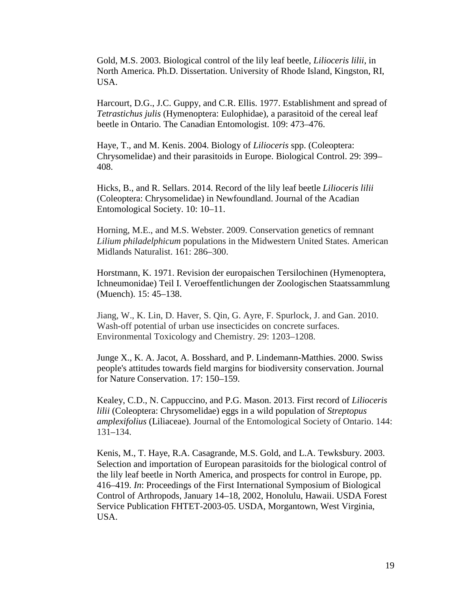Gold, M.S. 2003. Biological control of the lily leaf beetle, *Lilioceris lilii*, in North America. Ph.D. Dissertation. University of Rhode Island, Kingston, RI, USA.

Harcourt, D.G., J.C. Guppy, and C.R. Ellis. 1977. Establishment and spread of *Tetrastichus julis* (Hymenoptera: Eulophidae), a parasitoid of the cereal leaf beetle in Ontario. The Canadian Entomologist. 109: 473–476.

Haye, T., and M. Kenis. 2004. Biology of *Lilioceris* spp. (Coleoptera: Chrysomelidae) and their parasitoids in Europe. Biological Control. 29: 399– 408.

Hicks, B., and R. Sellars. 2014. Record of the lily leaf beetle *Lilioceris lilii* (Coleoptera: Chrysomelidae) in Newfoundland. Journal of the Acadian Entomological Society. 10: 10–11.

Horning, M.E., and M.S. Webster. 2009. Conservation genetics of remnant *Lilium philadelphicum* populations in the Midwestern United States. American Midlands Naturalist. 161: 286–300.

Horstmann, K. 1971. Revision der europaischen Tersilochinen (Hymenoptera, Ichneumonidae) Teil I. Veroeffentlichungen der Zoologischen Staatssammlung (Muench). 15: 45–138.

Jiang, W., K. Lin, D. Haver, S. Qin, G. Ayre, F. Spurlock, J. and Gan. 2010. Wash-off potential of urban use insecticides on concrete surfaces. Environmental Toxicology and Chemistry. 29: 1203–1208.

Junge X., K. A. Jacot, A. Bosshard, and P. Lindemann-Matthies. 2000. Swiss people's attitudes towards field margins for biodiversity conservation. Journal for Nature Conservation. 17: 150–159.

Kealey, C.D., N. Cappuccino, and P.G. Mason. 2013. First record of *Lilioceris lilii* (Coleoptera: Chrysomelidae) eggs in a wild population of *Streptopus amplexifolius* (Liliaceae). Journal of the Entomological Society of Ontario. 144: 131–134.

Kenis, M., T. Haye, R.A. Casagrande, M.S. Gold, and L.A. Tewksbury. 2003. Selection and importation of European parasitoids for the biological control of the lily leaf beetle in North America, and prospects for control in Europe, pp. 416–419. *In*: Proceedings of the First International Symposium of Biological Control of Arthropods, January 14–18, 2002, Honolulu, Hawaii. USDA Forest Service Publication FHTET-2003-05. USDA, Morgantown, West Virginia, USA.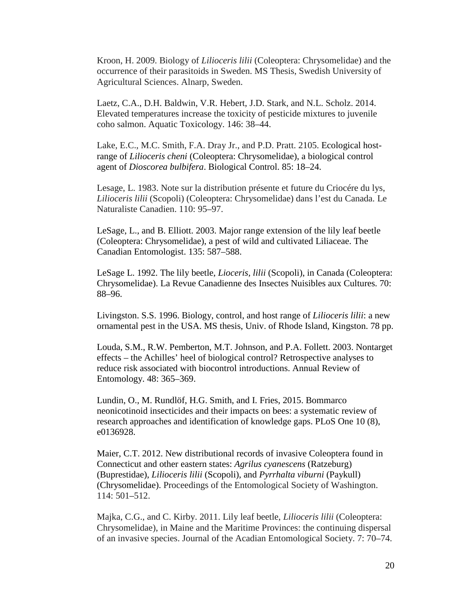Kroon, H. 2009. Biology of *Lilioceris lilii* (Coleoptera: Chrysomelidae) and the occurrence of their parasitoids in Sweden. MS Thesis, Swedish University of Agricultural Sciences. Alnarp, Sweden.

Laetz, C.A., D.H. Baldwin, V.R. Hebert, J.D. Stark, and N.L. Scholz. 2014. Elevated temperatures increase the toxicity of pesticide mixtures to juvenile coho salmon. Aquatic Toxicology. 146: 38–44.

Lake, E.C., M.C. Smith, F.A. Dray Jr., and P.D. Pratt. 2105. Ecological hostrange of *Lilioceris cheni* (Coleoptera: Chrysomelidae), a biological control agent of *Dioscorea bulbifera*. Biological Control. 85: 18–24.

Lesage, L. 1983. Note sur la distribution présente et future du Criocére du lys, *Lilioceris lilii* (Scopoli) (Coleoptera: Chrysomelidae) dans l'est du Canada. Le Naturaliste Canadien. 110: 95–97.

LeSage, L., and B. Elliott. 2003. Major range extension of the lily leaf beetle (Coleoptera: Chrysomelidae), a pest of wild and cultivated Liliaceae. The Canadian Entomologist. 135: 587–588.

LeSage L. 1992. The lily beetle, *Lioceris, lilii* (Scopoli), in Canada (Coleoptera: Chrysomelidae). La Revue Canadienne des Insectes Nuisibles aux Cultures. 70: 88–96.

Livingston. S.S. 1996. Biology, control, and host range of *Lilioceris lilii*: a new ornamental pest in the USA. MS thesis, Univ. of Rhode Island, Kingston. 78 pp.

Louda, S.M., R.W. Pemberton, M.T. Johnson, and P.A. Follett. 2003. Nontarget effects – the Achilles' heel of biological control? Retrospective analyses to reduce risk associated with biocontrol introductions. Annual Review of Entomology. 48: 365–369.

Lundin, O., M. Rundlöf, H.G. Smith, and I. Fries, 2015. Bommarco neonicotinoid insecticides and their impacts on bees: a systematic review of research approaches and identification of knowledge gaps. PLoS One 10 (8), e0136928.

Maier, C.T. 2012. New distributional records of invasive Coleoptera found in Connecticut and other eastern states: *Agrilus cyanescens* (Ratzeburg) (Buprestidae), *Lilioceris lilii* (Scopoli), and *Pyrrhalta viburni* (Paykull) (Chrysomelidae). Proceedings of the Entomological Society of Washington. 114: 501–512.

Majka, C.G., and C. Kirby. 2011. Lily leaf beetle, *Lilioceris lilii* (Coleoptera: Chrysomelidae), in Maine and the Maritime Provinces: the continuing dispersal of an invasive species. Journal of the Acadian Entomological Society. 7: 70–74.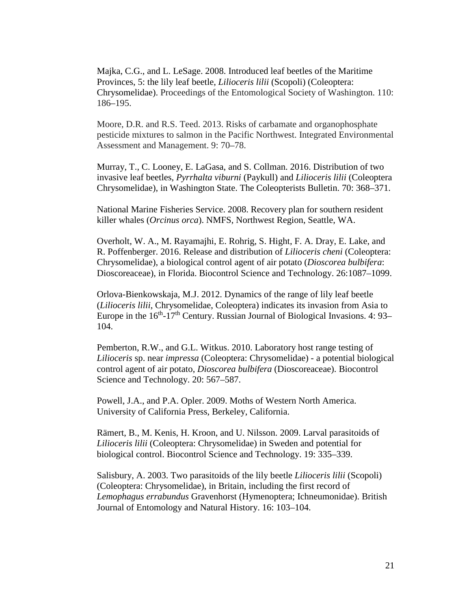Majka, C.G., and L. LeSage. 2008. Introduced leaf beetles of the Maritime Provinces, 5: the lily leaf beetle, *Lilioceris lilii* (Scopoli) (Coleoptera: Chrysomelidae). Proceedings of the Entomological Society of Washington. 110: 186–195.

Moore, D.R. and R.S. Teed. 2013. Risks of carbamate and organophosphate pesticide mixtures to salmon in the Pacific Northwest. Integrated Environmental Assessment and Management. 9: 70–78.

Murray, T., C. Looney, E. LaGasa, and S. Collman. 2016. Distribution of two invasive leaf beetles, *Pyrrhalta viburni* (Paykull) and *Lilioceris lilii* (Coleoptera Chrysomelidae), in Washington State. The Coleopterists Bulletin. 70: 368–371.

National Marine Fisheries Service. 2008. Recovery plan for southern resident killer whales (*Orcinus orca*). NMFS, Northwest Region, Seattle, WA.

Overholt, W. A., M. Rayamajhi, E. Rohrig, S. Hight, F. A. Dray, E. Lake, and R. Poffenberger. 2016. Release and distribution of *Lilioceris cheni* (Coleoptera: Chrysomelidae), a biological control agent of air potato (*Dioscorea bulbifera*: Dioscoreaceae), in Florida. Biocontrol Science and Technology. 26:1087–1099.

Orlova-Bienkowskaja, M.J. 2012. Dynamics of the range of lily leaf beetle (*Lilioceris lilii*, Chrysomelidae, Coleoptera) indicates its invasion from Asia to Europe in the  $16<sup>th</sup>$ -17<sup>th</sup> Century. Russian Journal of Biological Invasions. 4: 93– 104.

Pemberton, R.W., and G.L. Witkus. 2010. Laboratory host range testing of *Lilioceris* sp. near *impressa* (Coleoptera: Chrysomelidae) - a potential biological control agent of air potato, *Dioscorea bulbifera* (Dioscoreaceae). Biocontrol Science and Technology. 20: 567–587.

Powell, J.A., and P.A. Opler. 2009. Moths of Western North America. University of California Press, Berkeley, California.

Rämert, B., M. Kenis, H. Kroon, and U. Nilsson. 2009. Larval parasitoids of *Lilioceris lilii* (Coleoptera: Chrysomelidae) in Sweden and potential for biological control. Biocontrol Science and Technology. 19: 335–339.

Salisbury, A. 2003. Two parasitoids of the lily beetle *Lilioceris lilii* (Scopoli) (Coleoptera: Chrysomelidae), in Britain, including the first record of *Lemophagus errabundus* Gravenhorst (Hymenoptera; Ichneumonidae). British Journal of Entomology and Natural History. 16: 103–104.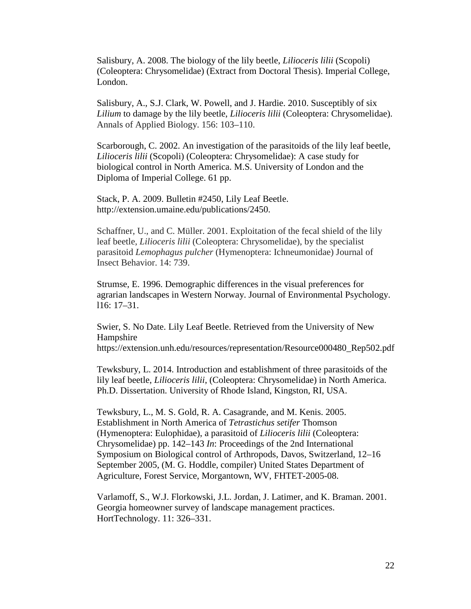Salisbury, A. 2008. The biology of the lily beetle, *Lilioceris lilii* (Scopoli) (Coleoptera: Chrysomelidae) (Extract from Doctoral Thesis). Imperial College, London.

Salisbury, A., S.J. Clark, W. Powell, and J. Hardie. 2010. Susceptibly of six *Lilium* to damage by the lily beetle, *Lilioceris lilii* (Coleoptera: Chrysomelidae). Annals of Applied Biology. 156: 103–110.

Scarborough, C. 2002. An investigation of the parasitoids of the lily leaf beetle, *Lilioceris lilii* (Scopoli) (Coleoptera: Chrysomelidae): A case study for biological control in North America. M.S. University of London and the Diploma of Imperial College. 61 pp.

Stack, P. A. 2009. Bulletin #2450, Lily Leaf Beetle. http://extension.umaine.edu/publications/2450.

Schaffner, U., and C. Müller. 2001. Exploitation of the fecal shield of the lily leaf beetle, *Lilioceris lilii* (Coleoptera: Chrysomelidae), by the specialist parasitoid *Lemophagus pulcher* (Hymenoptera: Ichneumonidae) Journal of Insect Behavior. 14: 739.

Strumse, E. 1996. Demographic differences in the visual preferences for agrarian landscapes in Western Norway. Journal of Environmental Psychology. l16: 17–31.

Swier, S. No Date. Lily Leaf Beetle. Retrieved from the University of New Hampshire

https://extension.unh.edu/resources/representation/Resource000480\_Rep502.pdf

Tewksbury, L. 2014. Introduction and establishment of three parasitoids of the lily leaf beetle, *Lilioceris lilii*, (Coleoptera: Chrysomelidae) in North America. Ph.D. Dissertation. University of Rhode Island, Kingston, RI, USA.

Tewksbury, L., M. S. Gold, R. A. Casagrande, and M. Kenis. 2005. Establishment in North America of *Tetrastichus setifer* Thomson (Hymenoptera: Eulophidae), a parasitoid of *Lilioceris lilii* (Coleoptera: Chrysomelidae) pp. 142–143 *In*: Proceedings of the 2nd International Symposium on Biological control of Arthropods, Davos, Switzerland, 12–16 September 2005, (M. G. Hoddle, compiler) United States Department of Agriculture, Forest Service, Morgantown, WV, FHTET-2005-08.

Varlamoff, S., W.J. Florkowski, J.L. Jordan, J. Latimer, and K. Braman. 2001. Georgia homeowner survey of landscape management practices. HortTechnology. 11: 326–331.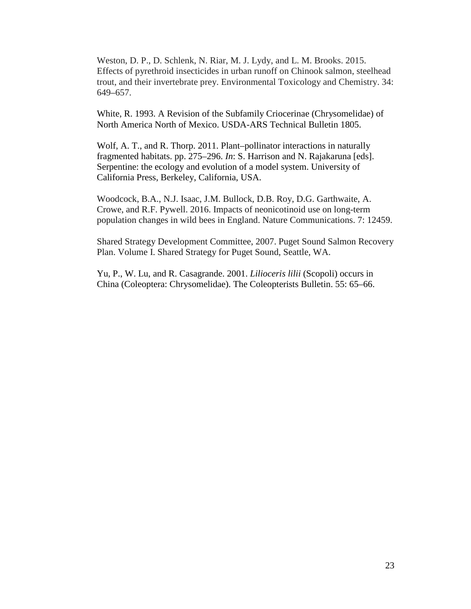Weston, D. P., D. Schlenk, N. Riar, M. J. Lydy, and L. M. Brooks. 2015. Effects of pyrethroid insecticides in urban runoff on Chinook salmon, steelhead trout, and their invertebrate prey. Environmental Toxicology and Chemistry. 34: 649–657.

White, R. 1993. A Revision of the Subfamily Criocerinae (Chrysomelidae) of North America North of Mexico. USDA-ARS Technical Bulletin 1805.

Wolf, A. T., and R. Thorp. 2011. Plant–pollinator interactions in naturally fragmented habitats. pp. 275–296. *In*: S. Harrison and N. Rajakaruna [eds]. Serpentine: the ecology and evolution of a model system. University of California Press, Berkeley, California, USA.

Woodcock, B.A., N.J. Isaac, J.M. Bullock, D.B. Roy, D.G. Garthwaite, A. Crowe, and R.F. Pywell. 2016. Impacts of neonicotinoid use on long-term population changes in wild bees in England. Nature Communications. 7: 12459.

Shared Strategy Development Committee, 2007. Puget Sound Salmon Recovery Plan. Volume I. Shared Strategy for Puget Sound, Seattle, WA.

Yu, P., W. Lu, and R. Casagrande. 2001. *Lilioceris lilii* (Scopoli) occurs in China (Coleoptera: Chrysomelidae). The Coleopterists Bulletin. 55: 65–66.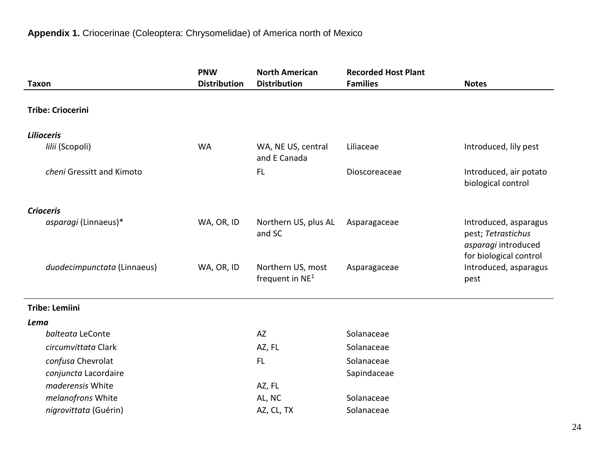|                             | <b>PNW</b>          | <b>North American</b>                  | <b>Recorded Host Plant</b> |                                                                                              |
|-----------------------------|---------------------|----------------------------------------|----------------------------|----------------------------------------------------------------------------------------------|
| <b>Taxon</b>                | <b>Distribution</b> | <b>Distribution</b>                    | <b>Families</b>            | <b>Notes</b>                                                                                 |
| <b>Tribe: Criocerini</b>    |                     |                                        |                            |                                                                                              |
| <b>Lilioceris</b>           |                     |                                        |                            |                                                                                              |
| lilii (Scopoli)             | <b>WA</b>           | WA, NE US, central<br>and E Canada     | Liliaceae                  | Introduced, lily pest                                                                        |
| cheni Gressitt and Kimoto   |                     | <b>FL</b>                              | Dioscoreaceae              | Introduced, air potato<br>biological control                                                 |
| <b>Crioceris</b>            |                     |                                        |                            |                                                                                              |
| asparagi (Linnaeus)*        | WA, OR, ID          | Northern US, plus AL<br>and SC         | Asparagaceae               | Introduced, asparagus<br>pest; Tetrastichus<br>asparagi introduced<br>for biological control |
| duodecimpunctata (Linnaeus) | WA, OR, ID          | Northern US, most<br>frequent in $NE1$ | Asparagaceae               | Introduced, asparagus<br>pest                                                                |
| <b>Tribe: Lemiini</b>       |                     |                                        |                            |                                                                                              |
| Lema                        |                     |                                        |                            |                                                                                              |
| balteata LeConte            |                     | AZ                                     | Solanaceae                 |                                                                                              |
| circumvittata Clark         |                     | AZ, FL                                 | Solanaceae                 |                                                                                              |
| confusa Chevrolat           |                     | <b>FL</b>                              | Solanaceae                 |                                                                                              |
| conjuncta Lacordaire        |                     |                                        | Sapindaceae                |                                                                                              |
| maderensis White            |                     | AZ, FL                                 |                            |                                                                                              |
| melanofrons White           |                     | AL, NC                                 | Solanaceae                 |                                                                                              |
| nigrovittata (Guérin)       |                     | AZ, CL, TX                             | Solanaceae                 |                                                                                              |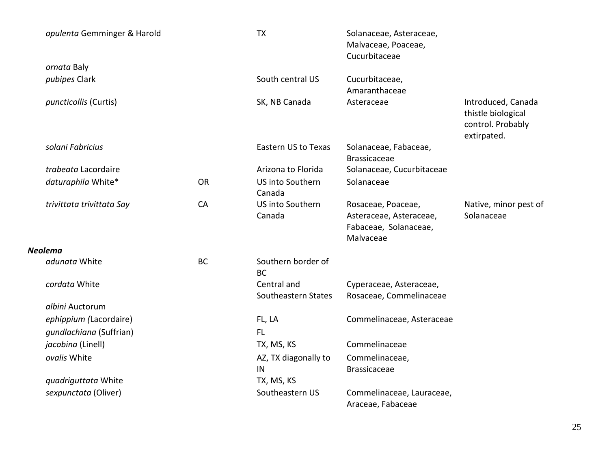| opulenta Gemminger & Harold |           | <b>TX</b>                          | Solanaceae, Asteraceae,<br>Malvaceae, Poaceae,<br>Cucurbitaceae                     |                                                                              |
|-----------------------------|-----------|------------------------------------|-------------------------------------------------------------------------------------|------------------------------------------------------------------------------|
| ornata Baly                 |           |                                    |                                                                                     |                                                                              |
| pubipes Clark               |           | South central US                   | Cucurbitaceae,<br>Amaranthaceae                                                     |                                                                              |
| puncticollis (Curtis)       |           | SK, NB Canada                      | Asteraceae                                                                          | Introduced, Canada<br>thistle biological<br>control. Probably<br>extirpated. |
| solani Fabricius            |           | <b>Eastern US to Texas</b>         | Solanaceae, Fabaceae,<br><b>Brassicaceae</b>                                        |                                                                              |
| trabeata Lacordaire         |           | Arizona to Florida                 | Solanaceae, Cucurbitaceae                                                           |                                                                              |
| daturaphila White*          | <b>OR</b> | <b>US into Southern</b><br>Canada  | Solanaceae                                                                          |                                                                              |
| trivittata trivittata Say   | CA        | US into Southern<br>Canada         | Rosaceae, Poaceae,<br>Asteraceae, Asteraceae,<br>Fabaceae, Solanaceae,<br>Malvaceae | Native, minor pest of<br>Solanaceae                                          |
| <b>Neolema</b>              |           |                                    |                                                                                     |                                                                              |
| adunata White               | <b>BC</b> | Southern border of<br><b>BC</b>    |                                                                                     |                                                                              |
| cordata White               |           | Central and<br>Southeastern States | Cyperaceae, Asteraceae,<br>Rosaceae, Commelinaceae                                  |                                                                              |
| albini Auctorum             |           |                                    |                                                                                     |                                                                              |
| ephippium (Lacordaire)      |           | FL, LA                             | Commelinaceae, Asteraceae                                                           |                                                                              |
| qundlachiana (Suffrian)     |           | <b>FL</b>                          |                                                                                     |                                                                              |
| jacobina (Linell)           |           | TX, MS, KS                         | Commelinaceae                                                                       |                                                                              |
| ovalis White                |           | AZ, TX diagonally to<br>IN         | Commelinaceae,<br><b>Brassicaceae</b>                                               |                                                                              |
| quadriguttata White         |           | TX, MS, KS                         |                                                                                     |                                                                              |
| sexpunctata (Oliver)        |           | Southeastern US                    | Commelinaceae, Lauraceae,<br>Araceae, Fabaceae                                      |                                                                              |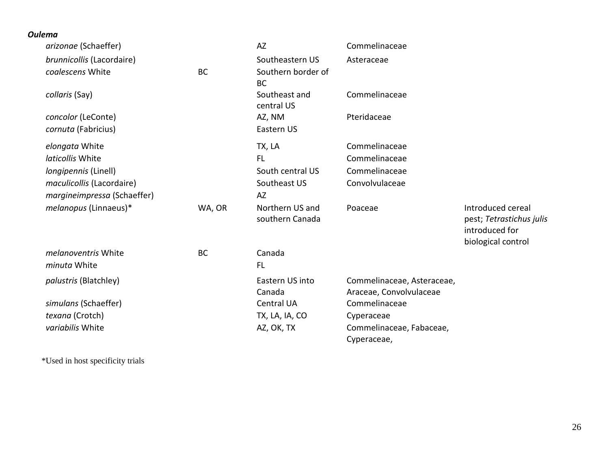| <b>Oulema</b> |                              |           |                                    |                                                       |                                                                                       |
|---------------|------------------------------|-----------|------------------------------------|-------------------------------------------------------|---------------------------------------------------------------------------------------|
|               | arizonae (Schaeffer)         |           | <b>AZ</b>                          | Commelinaceae                                         |                                                                                       |
|               | brunnicollis (Lacordaire)    |           | Southeastern US                    | Asteraceae                                            |                                                                                       |
|               | coalescens White             | <b>BC</b> | Southern border of<br><b>BC</b>    |                                                       |                                                                                       |
|               | collaris (Say)               |           | Southeast and<br>central US        | Commelinaceae                                         |                                                                                       |
|               | concolor (LeConte)           |           | AZ, NM                             | Pteridaceae                                           |                                                                                       |
|               | cornuta (Fabricius)          |           | Eastern US                         |                                                       |                                                                                       |
|               | elongata White               |           | TX, LA                             | Commelinaceae                                         |                                                                                       |
|               | laticollis White             |           | <b>FL</b>                          | Commelinaceae                                         |                                                                                       |
|               | <i>longipennis</i> (Linell)  |           | South central US                   | Commelinaceae                                         |                                                                                       |
|               | maculicollis (Lacordaire)    |           | Southeast US                       | Convolvulaceae                                        |                                                                                       |
|               | margineimpressa (Schaeffer)  |           | AZ                                 |                                                       |                                                                                       |
|               | melanopus (Linnaeus)*        | WA, OR    | Northern US and<br>southern Canada | Poaceae                                               | Introduced cereal<br>pest; Tetrastichus julis<br>introduced for<br>biological control |
|               | melanoventris White          | <b>BC</b> | Canada                             |                                                       |                                                                                       |
|               | minuta White                 |           | <b>FL</b>                          |                                                       |                                                                                       |
|               | <i>palustris</i> (Blatchley) |           | Eastern US into<br>Canada          | Commelinaceae, Asteraceae,<br>Araceae, Convolvulaceae |                                                                                       |
|               | simulans (Schaeffer)         |           | <b>Central UA</b>                  | Commelinaceae                                         |                                                                                       |
|               | texana (Crotch)              |           | TX, LA, IA, CO                     | Cyperaceae                                            |                                                                                       |
|               | variabilis White             |           | AZ, OK, TX                         | Commelinaceae, Fabaceae,<br>Cyperaceae,               |                                                                                       |

\*Used in host specificity trials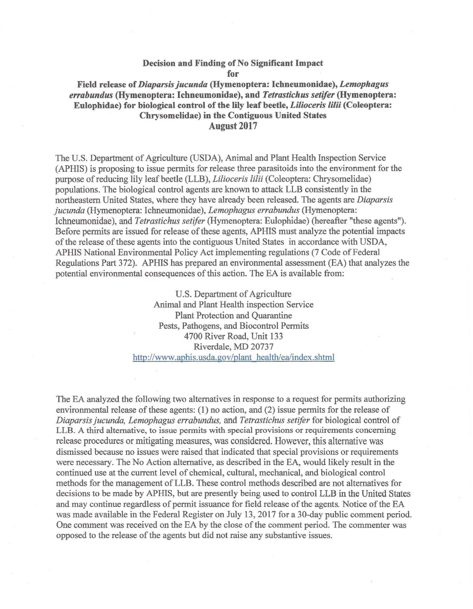#### Decision and Finding of No Significant Impact for

Field release of *Diaparsis jucunda* (Hymenoptera: lchneumonidae), *Lemophagus errabundus* (Hymenoptera: Ichneumonidae), and *Tetrastichus setifer* (Hymenoptera: Eulophidae) for biological control of the lily leaf beetle, *Lilioceris lilii* (Coleoptera: Chrysomelidae) in the Contiguous United States August 2017

The U.S. Department of Agriculture (USDA), Animal and Plant Health Inspection Service (APHIS) is proposing to issue permits for release three parasitoids into the environment for the purpose ofreducing lily leaf beetle (LLB), *Lilioceris lilii* (Coleoptera: Chrysomelidae) populations. The biological control agents are known to attack LLB consistently in the northeastern United States, where they have already been released. The agents are *Diaparsis jucunda* (Hymenoptera: Ichneumonidae), *Lemophagus errabundus* (Hymenoptera: lchneumonidae), and *Tetrastichus setifer* (Hymenoptera: Eulophidae) (hereafter "these agents"). Before permits are issued for release of these agents, AP HIS must analyze the potential impacts of the release of these agents into the contiguous United States in accordance with USDA, APHIS National Environmental Policy Act implementing regulations (7 Code of Federal Regulations Part 372). APHIS has prepared an environmental assessment (EA) that analyzes the potential environmental consequences of this action. The EA is available from:

> U.S. Department of Agriculture Animal and Plant Health inspection Service Plant Protection and Quarantine Pests, Pathogens, and Biocontrol Permits 4700 River Road, Unit 133 Riverdale, MD 20737 http://www.aphis.usda.gov/plant health/ea/index.shtml

The EA analyzed the following two alternatives in response to a request for permits authorizing environmental release of these agents: (1) no action, and (2) issue permits for the release of *Diaparsis jucunda, Lemophagus errabundus,* and *Tetrastichus setifer* for biological control of LLB. A third alternative, to issue permits with special provisions or requirements concerning release procedures or mitigating measures, was considered. However, this alternative was dismissed because no issues were raised that indicated that special provisions or requirements were necessary. The No Action alternative, as described in the EA, would likely result in the continued use at the current level of chemical, cultural, mechanical, and biological control methods for the management of LLB. These control methods described are not alternatives for decisions to be made by APHIS, but are presently being used to control LLB in the United States and may continue regardless of permit issuance for field release of the agents. Notice of the EA was made available in the Federal Register on July 13, 2017 for a 30-day public comment period. One comment was received on the EA by the close of the comment period. The commenter was opposed to the release of the agents but did not raise any substantive issues.